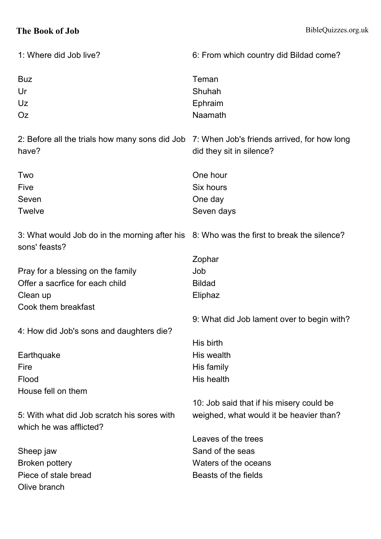## **The Book of Job** BibleQuizzes.org.uk

| 1: Where did Job live?                                                                   | 6: From which country did Bildad come?      |
|------------------------------------------------------------------------------------------|---------------------------------------------|
| <b>Buz</b>                                                                               | Teman                                       |
| Ur                                                                                       | Shuhah                                      |
| Uz                                                                                       | Ephraim                                     |
| <b>Oz</b>                                                                                | Naamath                                     |
|                                                                                          |                                             |
| 2: Before all the trials how many sons did Job                                           | 7: When Job's friends arrived, for how long |
| have?                                                                                    | did they sit in silence?                    |
|                                                                                          |                                             |
| Two                                                                                      | One hour                                    |
| Five                                                                                     | Six hours                                   |
| Seven                                                                                    | One day                                     |
| Twelve                                                                                   | Seven days                                  |
|                                                                                          |                                             |
| 3: What would Job do in the morning after his 8: Who was the first to break the silence? |                                             |
| sons' feasts?                                                                            |                                             |
|                                                                                          | Zophar                                      |
| Pray for a blessing on the family                                                        | Job                                         |
| Offer a sacrfice for each child                                                          | <b>Bildad</b>                               |
| Clean up                                                                                 | Eliphaz                                     |
| Cook them breakfast                                                                      |                                             |
|                                                                                          | 9: What did Job lament over to begin with?  |
| 4: How did Job's sons and daughters die?                                                 |                                             |
|                                                                                          | His birth                                   |
| Earthquake                                                                               | His wealth                                  |
| Fire                                                                                     | His family                                  |
| Flood                                                                                    | His health                                  |
| House fell on them                                                                       |                                             |
|                                                                                          | 10: Job said that if his misery could be    |
| 5: With what did Job scratch his sores with                                              | weighed, what would it be heavier than?     |
| which he was afflicted?                                                                  |                                             |
|                                                                                          | Leaves of the trees                         |
| Sheep jaw                                                                                | Sand of the seas                            |
| <b>Broken pottery</b>                                                                    | Waters of the oceans                        |
| Piece of stale bread                                                                     | Beasts of the fields                        |
| Olive branch                                                                             |                                             |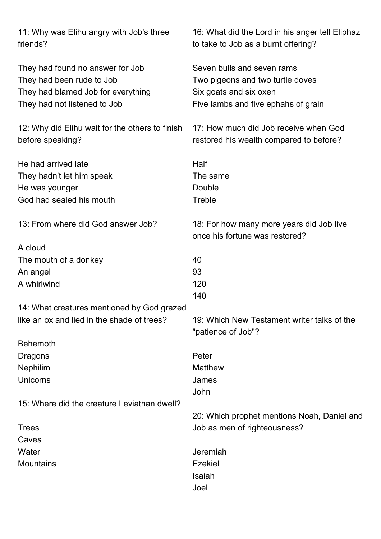| 11: Why was Elihu angry with Job's three<br>friends?                                                                                | 16: What did the Lord in his anger tell Eliphaz<br>to take to Job as a burnt offering?                                          |
|-------------------------------------------------------------------------------------------------------------------------------------|---------------------------------------------------------------------------------------------------------------------------------|
| They had found no answer for Job<br>They had been rude to Job<br>They had blamed Job for everything<br>They had not listened to Job | Seven bulls and seven rams<br>Two pigeons and two turtle doves<br>Six goats and six oxen<br>Five lambs and five ephahs of grain |
| 12: Why did Elihu wait for the others to finish<br>before speaking?                                                                 | 17: How much did Job receive when God<br>restored his wealth compared to before?                                                |
| He had arrived late<br>They hadn't let him speak<br>He was younger<br>God had sealed his mouth                                      | Half<br>The same<br>Double<br>Treble                                                                                            |
| 13: From where did God answer Job?                                                                                                  | 18: For how many more years did Job live<br>once his fortune was restored?                                                      |
| A cloud                                                                                                                             |                                                                                                                                 |
| The mouth of a donkey                                                                                                               | 40                                                                                                                              |
| An angel                                                                                                                            | 93                                                                                                                              |
| A whirlwind                                                                                                                         | 120<br>140                                                                                                                      |
| 14: What creatures mentioned by God grazed                                                                                          |                                                                                                                                 |
| like an ox and lied in the shade of trees?                                                                                          | 19: Which New Testament writer talks of the<br>"patience of Job"?                                                               |
| <b>Behemoth</b>                                                                                                                     |                                                                                                                                 |
| Dragons                                                                                                                             | Peter                                                                                                                           |
| <b>Nephilim</b>                                                                                                                     | <b>Matthew</b>                                                                                                                  |
| Unicorns                                                                                                                            | James                                                                                                                           |
|                                                                                                                                     | John                                                                                                                            |
| 15: Where did the creature Leviathan dwell?                                                                                         |                                                                                                                                 |
|                                                                                                                                     | 20: Which prophet mentions Noah, Daniel and                                                                                     |
| <b>Trees</b>                                                                                                                        | Job as men of righteousness?                                                                                                    |
| Caves                                                                                                                               |                                                                                                                                 |
| Water                                                                                                                               | Jeremiah                                                                                                                        |
| <b>Mountains</b>                                                                                                                    | <b>Ezekiel</b>                                                                                                                  |
|                                                                                                                                     | Isaiah                                                                                                                          |
|                                                                                                                                     | Joel                                                                                                                            |